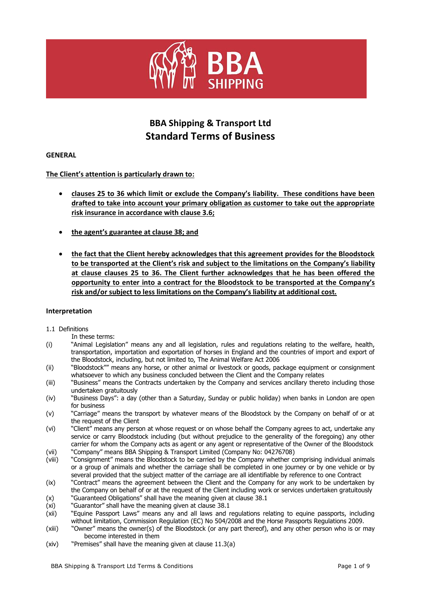

# **BBA Shipping & Transport Ltd Standard Terms of Business**

# **GENERAL**

# **The Client's attention is particularly drawn to:**

- **clauses 25 to 36 which limit or exclude the Company's liability. These conditions have been drafted to take into account your primary obligation as customer to take out the appropriate risk insurance in accordance with clause 3.6;**
- **the agent's guarantee at clause 38; and**
- **the fact that the Client hereby acknowledges that this agreement provides for the Bloodstock to be transported at the Client's risk and subject to the limitations on the Company's liability at clause clauses 25 to 36. The Client further acknowledges that he has been offered the opportunity to enter into a contract for the Bloodstock to be transported at the Company's risk and/or subject to less limitations on the Company's liability at additional cost.**

## **Interpretation**

## 1.1 Definitions

In these terms:

- (i) "Animal Legislation" means any and all legislation, rules and regulations relating to the welfare, health, transportation, importation and exportation of horses in England and the countries of import and export of the Bloodstock, including, but not limited to, The Animal Welfare Act 2006
- (ii) "Bloodstock"" means any horse, or other animal or livestock or goods, package equipment or consignment whatsoever to which any business concluded between the Client and the Company relates
- (iii) "Business" means the Contracts undertaken by the Company and services ancillary thereto including those undertaken gratuitously
- (iv) "Business Days": a day (other than a Saturday, Sunday or public holiday) when banks in London are open for business
- (v) "Carriage" means the transport by whatever means of the Bloodstock by the Company on behalf of or at the request of the Client
- (vi) "Client" means any person at whose request or on whose behalf the Company agrees to act, undertake any service or carry Bloodstock including (but without prejudice to the generality of the foregoing) any other carrier for whom the Company acts as agent or any agent or representative of the Owner of the Bloodstock
- (vii) "Company" means BBA Shipping & Transport Limited (Company No: 04276708)
- (viii) "Consignment" means the Bloodstock to be carried by the Company whether comprising individual animals or a group of animals and whether the carriage shall be completed in one journey or by one vehicle or by several provided that the subject matter of the carriage are all identifiable by reference to one Contract
- (ix) "Contract" means the agreement between the Client and the Company for any work to be undertaken by the Company on behalf of or at the request of the Client including work or services undertaken gratuitously
- (x) "Guaranteed Obligations" shall have the meaning given at clause 38.1
- (xi) "Guarantor" shall have the meaning given at clause 38.1
- (xii) "Equine Passport Laws" means any and all laws and regulations relating to equine passports, including without limitation, Commission Regulation (EC) No 504/2008 and the Horse Passports Regulations 2009.
- (xiii) "Owner" means the owner(s) of the Bloodstock (or any part thereof), and any other person who is or may become interested in them
- (xiv) "Premises" shall have the meaning given at clause 11.3(a)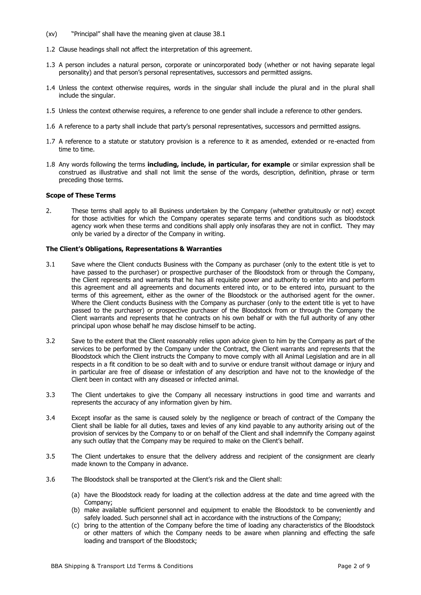- (xv) "Principal" shall have the meaning given at clause 38.1
- 1.2 Clause headings shall not affect the interpretation of this agreement.
- 1.3 A person includes a natural person, corporate or unincorporated body (whether or not having separate legal personality) and that person's personal representatives, successors and permitted assigns.
- 1.4 Unless the context otherwise requires, words in the singular shall include the plural and in the plural shall include the singular.
- 1.5 Unless the context otherwise requires, a reference to one gender shall include a reference to other genders.
- 1.6 A reference to a party shall include that party's personal representatives, successors and permitted assigns.
- 1.7 A reference to a statute or statutory provision is a reference to it as amended, extended or re-enacted from time to time.
- 1.8 Any words following the terms **including, include, in particular, for example** or similar expression shall be construed as illustrative and shall not limit the sense of the words, description, definition, phrase or term preceding those terms.

#### **Scope of These Terms**

2. These terms shall apply to all Business undertaken by the Company (whether gratuitously or not) except for those activities for which the Company operates separate terms and conditions such as bloodstock agency work when these terms and conditions shall apply only insofaras they are not in conflict. They may only be varied by a director of the Company in writing.

#### **The Client's Obligations, Representations & Warranties**

- 3.1 Save where the Client conducts Business with the Company as purchaser (only to the extent title is yet to have passed to the purchaser) or prospective purchaser of the Bloodstock from or through the Company, the Client represents and warrants that he has all requisite power and authority to enter into and perform this agreement and all agreements and documents entered into, or to be entered into, pursuant to the terms of this agreement, either as the owner of the Bloodstock or the authorised agent for the owner. Where the Client conducts Business with the Company as purchaser (only to the extent title is yet to have passed to the purchaser) or prospective purchaser of the Bloodstock from or through the Company the Client warrants and represents that he contracts on his own behalf or with the full authority of any other principal upon whose behalf he may disclose himself to be acting.
- 3.2 Save to the extent that the Client reasonably relies upon advice given to him by the Company as part of the services to be performed by the Company under the Contract, the Client warrants and represents that the Bloodstock which the Client instructs the Company to move comply with all Animal Legislation and are in all respects in a fit condition to be so dealt with and to survive or endure transit without damage or injury and in particular are free of disease or infestation of any description and have not to the knowledge of the Client been in contact with any diseased or infected animal.
- 3.3 The Client undertakes to give the Company all necessary instructions in good time and warrants and represents the accuracy of any information given by him.
- 3.4 Except insofar as the same is caused solely by the negligence or breach of contract of the Company the Client shall be liable for all duties, taxes and levies of any kind payable to any authority arising out of the provision of services by the Company to or on behalf of the Client and shall indemnify the Company against any such outlay that the Company may be required to make on the Client's behalf.
- 3.5 The Client undertakes to ensure that the delivery address and recipient of the consignment are clearly made known to the Company in advance.
- 3.6 The Bloodstock shall be transported at the Client's risk and the Client shall:
	- (a) have the Bloodstock ready for loading at the collection address at the date and time agreed with the Company;
	- (b) make available sufficient personnel and equipment to enable the Bloodstock to be conveniently and safely loaded. Such personnel shall act in accordance with the instructions of the Company;
	- (c) bring to the attention of the Company before the time of loading any characteristics of the Bloodstock or other matters of which the Company needs to be aware when planning and effecting the safe loading and transport of the Bloodstock;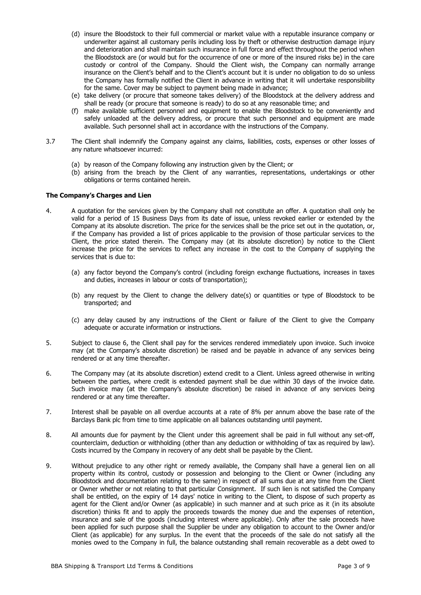- (d) insure the Bloodstock to their full commercial or market value with a reputable insurance company or underwriter against all customary perils including loss by theft or otherwise destruction damage injury and deterioration and shall maintain such insurance in full force and effect throughout the period when the Bloodstock are (or would but for the occurrence of one or more of the insured risks be) in the care custody or control of the Company. Should the Client wish, the Company can normally arrange insurance on the Client's behalf and to the Client's account but it is under no obligation to do so unless the Company has formally notified the Client in advance in writing that it will undertake responsibility for the same. Cover may be subject to payment being made in advance;
- (e) take delivery (or procure that someone takes delivery) of the Bloodstock at the delivery address and shall be ready (or procure that someone is ready) to do so at any reasonable time; and
- (f) make available sufficient personnel and equipment to enable the Bloodstock to be conveniently and safely unloaded at the delivery address, or procure that such personnel and equipment are made available. Such personnel shall act in accordance with the instructions of the Company.
- 3.7 The Client shall indemnify the Company against any claims, liabilities, costs, expenses or other losses of any nature whatsoever incurred:
	- (a) by reason of the Company following any instruction given by the Client; or
	- (b) arising from the breach by the Client of any warranties, representations, undertakings or other obligations or terms contained herein.

## **The Company's Charges and Lien**

- 4. A quotation for the services given by the Company shall not constitute an offer. A quotation shall only be valid for a period of 15 Business Days from its date of issue, unless revoked earlier or extended by the Company at its absolute discretion. The price for the services shall be the price set out in the quotation, or, if the Company has provided a list of prices applicable to the provision of those particular services to the Client, the price stated therein. The Company may (at its absolute discretion) by notice to the Client increase the price for the services to reflect any increase in the cost to the Company of supplying the services that is due to:
	- (a) any factor beyond the Company's control (including foreign exchange fluctuations, increases in taxes and duties, increases in labour or costs of transportation);
	- (b) any request by the Client to change the delivery date(s) or quantities or type of Bloodstock to be transported; and
	- (c) any delay caused by any instructions of the Client or failure of the Client to give the Company adequate or accurate information or instructions.
- 5. Subject to clause 6, the Client shall pay for the services rendered immediately upon invoice. Such invoice may (at the Company's absolute discretion) be raised and be payable in advance of any services being rendered or at any time thereafter.
- 6. The Company may (at its absolute discretion) extend credit to a Client. Unless agreed otherwise in writing between the parties, where credit is extended payment shall be due within 30 days of the invoice date. Such invoice may (at the Company's absolute discretion) be raised in advance of any services being rendered or at any time thereafter.
- 7. Interest shall be payable on all overdue accounts at a rate of 8% per annum above the base rate of the Barclays Bank plc from time to time applicable on all balances outstanding until payment.
- 8. All amounts due for payment by the Client under this agreement shall be paid in full without any set-off, counterclaim, deduction or withholding (other than any deduction or withholding of tax as required by law). Costs incurred by the Company in recovery of any debt shall be payable by the Client.
- 9. Without prejudice to any other right or remedy available, the Company shall have a general lien on all property within its control, custody or possession and belonging to the Client or Owner (including any Bloodstock and documentation relating to the same) in respect of all sums due at any time from the Client or Owner whether or not relating to that particular Consignment. If such lien is not satisfied the Company shall be entitled, on the expiry of 14 days' notice in writing to the Client, to dispose of such property as agent for the Client and/or Owner (as applicable) in such manner and at such price as it (in its absolute discretion) thinks fit and to apply the proceeds towards the money due and the expenses of retention, insurance and sale of the goods (including interest where applicable). Only after the sale proceeds have been applied for such purpose shall the Supplier be under any obligation to account to the Owner and/or Client (as applicable) for any surplus. In the event that the proceeds of the sale do not satisfy all the monies owed to the Company in full, the balance outstanding shall remain recoverable as a debt owed to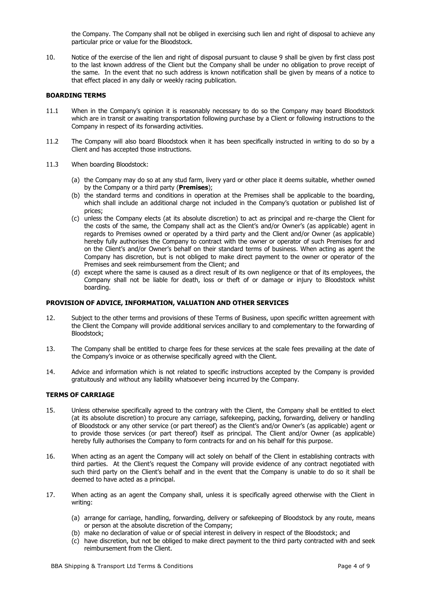the Company. The Company shall not be obliged in exercising such lien and right of disposal to achieve any particular price or value for the Bloodstock.

10. Notice of the exercise of the lien and right of disposal pursuant to clause 9 shall be given by first class post to the last known address of the Client but the Company shall be under no obligation to prove receipt of the same. In the event that no such address is known notification shall be given by means of a notice to that effect placed in any daily or weekly racing publication.

## **BOARDING TERMS**

- 11.1 When in the Company's opinion it is reasonably necessary to do so the Company may board Bloodstock which are in transit or awaiting transportation following purchase by a Client or following instructions to the Company in respect of its forwarding activities.
- 11.2 The Company will also board Bloodstock when it has been specifically instructed in writing to do so by a Client and has accepted those instructions.
- 11.3 When boarding Bloodstock:
	- (a) the Company may do so at any stud farm, livery yard or other place it deems suitable, whether owned by the Company or a third party (**Premises**);
	- (b) the standard terms and conditions in operation at the Premises shall be applicable to the boarding, which shall include an additional charge not included in the Company's quotation or published list of prices;
	- (c) unless the Company elects (at its absolute discretion) to act as principal and re-charge the Client for the costs of the same, the Company shall act as the Client's and/or Owner's (as applicable) agent in regards to Premises owned or operated by a third party and the Client and/or Owner (as applicable) hereby fully authorises the Company to contract with the owner or operator of such Premises for and on the Client's and/or Owner's behalf on their standard terms of business. When acting as agent the Company has discretion, but is not obliged to make direct payment to the owner or operator of the Premises and seek reimbursement from the Client; and
	- (d) except where the same is caused as a direct result of its own negligence or that of its employees, the Company shall not be liable for death, loss or theft of or damage or injury to Bloodstock whilst boarding.

#### **PROVISION OF ADVICE, INFORMATION, VALUATION AND OTHER SERVICES**

- 12. Subject to the other terms and provisions of these Terms of Business, upon specific written agreement with the Client the Company will provide additional services ancillary to and complementary to the forwarding of Bloodstock;
- 13. The Company shall be entitled to charge fees for these services at the scale fees prevailing at the date of the Company's invoice or as otherwise specifically agreed with the Client.
- 14. Advice and information which is not related to specific instructions accepted by the Company is provided gratuitously and without any liability whatsoever being incurred by the Company.

## **TERMS OF CARRIAGE**

- 15. Unless otherwise specifically agreed to the contrary with the Client, the Company shall be entitled to elect (at its absolute discretion) to procure any carriage, safekeeping, packing, forwarding, delivery or handling of Bloodstock or any other service (or part thereof) as the Client's and/or Owner's (as applicable) agent or to provide those services (or part thereof) itself as principal. The Client and/or Owner (as applicable) hereby fully authorises the Company to form contracts for and on his behalf for this purpose.
- 16. When acting as an agent the Company will act solely on behalf of the Client in establishing contracts with third parties. At the Client's request the Company will provide evidence of any contract negotiated with such third party on the Client's behalf and in the event that the Company is unable to do so it shall be deemed to have acted as a principal.
- 17. When acting as an agent the Company shall, unless it is specifically agreed otherwise with the Client in writing:
	- (a) arrange for carriage, handling, forwarding, delivery or safekeeping of Bloodstock by any route, means or person at the absolute discretion of the Company;
	- (b) make no declaration of value or of special interest in delivery in respect of the Bloodstock; and
	- (c) have discretion, but not be obliged to make direct payment to the third party contracted with and seek reimbursement from the Client.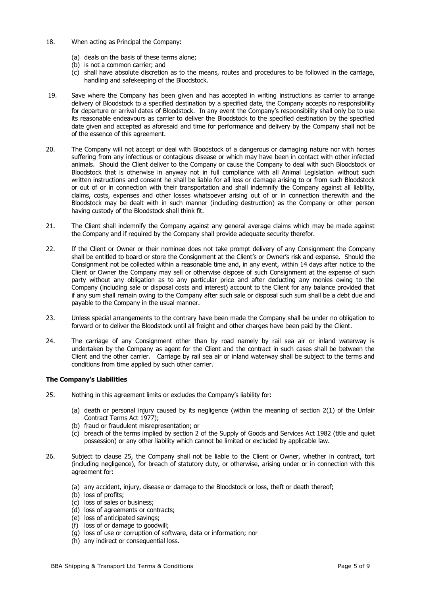- 18. When acting as Principal the Company:
	- (a) deals on the basis of these terms alone;
	- (b) is not a common carrier; and
	- (c) shall have absolute discretion as to the means, routes and procedures to be followed in the carriage, handling and safekeeping of the Bloodstock.
- 19. Save where the Company has been given and has accepted in writing instructions as carrier to arrange delivery of Bloodstock to a specified destination by a specified date, the Company accepts no responsibility for departure or arrival dates of Bloodstock. In any event the Company's responsibility shall only be to use its reasonable endeavours as carrier to deliver the Bloodstock to the specified destination by the specified date given and accepted as aforesaid and time for performance and delivery by the Company shall not be of the essence of this agreement.
- 20. The Company will not accept or deal with Bloodstock of a dangerous or damaging nature nor with horses suffering from any infectious or contagious disease or which may have been in contact with other infected animals. Should the Client deliver to the Company or cause the Company to deal with such Bloodstock or Bloodstock that is otherwise in anyway not in full compliance with all Animal Legislation without such written instructions and consent he shall be liable for all loss or damage arising to or from such Bloodstock or out of or in connection with their transportation and shall indemnify the Company against all liability, claims, costs, expenses and other losses whatsoever arising out of or in connection therewith and the Bloodstock may be dealt with in such manner (including destruction) as the Company or other person having custody of the Bloodstock shall think fit.
- 21. The Client shall indemnify the Company against any general average claims which may be made against the Company and if required by the Company shall provide adequate security therefor.
- 22. If the Client or Owner or their nominee does not take prompt delivery of any Consignment the Company shall be entitled to board or store the Consignment at the Client's or Owner's risk and expense. Should the Consignment not be collected within a reasonable time and, in any event, within 14 days after notice to the Client or Owner the Company may sell or otherwise dispose of such Consignment at the expense of such party without any obligation as to any particular price and after deducting any monies owing to the Company (including sale or disposal costs and interest) account to the Client for any balance provided that if any sum shall remain owing to the Company after such sale or disposal such sum shall be a debt due and payable to the Company in the usual manner.
- 23. Unless special arrangements to the contrary have been made the Company shall be under no obligation to forward or to deliver the Bloodstock until all freight and other charges have been paid by the Client.
- 24. The carriage of any Consignment other than by road namely by rail sea air or inland waterway is undertaken by the Company as agent for the Client and the contract in such cases shall be between the Client and the other carrier. Carriage by rail sea air or inland waterway shall be subject to the terms and conditions from time applied by such other carrier.

## **The Company's Liabilities**

- 25. Nothing in this agreement limits or excludes the Company's liability for:
	- (a) death or personal injury caused by its negligence (within the meaning of section 2(1) of the Unfair Contract Terms Act 1977);
	- (b) fraud or fraudulent misrepresentation; or
	- (c) breach of the terms implied by section 2 of the Supply of Goods and Services Act 1982 (title and quiet possession) or any other liability which cannot be limited or excluded by applicable law.
- 26. Subject to clause 25, the Company shall not be liable to the Client or Owner, whether in contract, tort (including negligence), for breach of statutory duty, or otherwise, arising under or in connection with this agreement for:
	- (a) any accident, injury, disease or damage to the Bloodstock or loss, theft or death thereof;
	- (b) loss of profits;
	- (c) loss of sales or business;
	- (d) loss of agreements or contracts;
	- (e) loss of anticipated savings;
	- (f) loss of or damage to goodwill;
	- (g) loss of use or corruption of software, data or information; nor
	- (h) any indirect or consequential loss.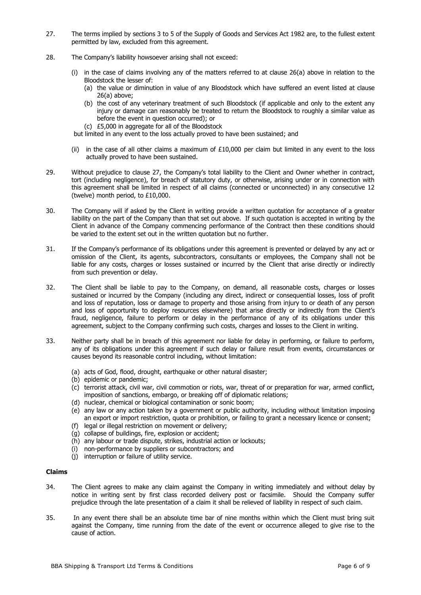- 27. The terms implied by sections 3 to 5 of the Supply of Goods and Services Act 1982 are, to the fullest extent permitted by law, excluded from this agreement.
- 28. The Company's liability howsoever arising shall not exceed:
	- (i) in the case of claims involving any of the matters referred to at clause 26(a) above in relation to the Bloodstock the lesser of:
		- (a) the value or diminution in value of any Bloodstock which have suffered an event listed at clause 26(a) above;
		- (b) the cost of any veterinary treatment of such Bloodstock (if applicable and only to the extent any injury or damage can reasonably be treated to return the Bloodstock to roughly a similar value as before the event in question occurred); or
		- (c) £5,000 in aggregate for all of the Bloodstock
	- but limited in any event to the loss actually proved to have been sustained; and
	- (ii) in the case of all other claims a maximum of  $£10,000$  per claim but limited in any event to the loss actually proved to have been sustained.
- 29. Without prejudice to clause 27, the Company's total liability to the Client and Owner whether in contract, tort (including negligence), for breach of statutory duty, or otherwise, arising under or in connection with this agreement shall be limited in respect of all claims (connected or unconnected) in any consecutive 12 (twelve) month period, to £10,000.
- 30. The Company will if asked by the Client in writing provide a written quotation for acceptance of a greater liability on the part of the Company than that set out above. If such quotation is accepted in writing by the Client in advance of the Company commencing performance of the Contract then these conditions should be varied to the extent set out in the written quotation but no further.
- 31. If the Company's performance of its obligations under this agreement is prevented or delayed by any act or omission of the Client, its agents, subcontractors, consultants or employees, the Company shall not be liable for any costs, charges or losses sustained or incurred by the Client that arise directly or indirectly from such prevention or delay.
- 32. The Client shall be liable to pay to the Company, on demand, all reasonable costs, charges or losses sustained or incurred by the Company (including any direct, indirect or consequential losses, loss of profit and loss of reputation, loss or damage to property and those arising from injury to or death of any person and loss of opportunity to deploy resources elsewhere) that arise directly or indirectly from the Client's fraud, negligence, failure to perform or delay in the performance of any of its obligations under this agreement, subject to the Company confirming such costs, charges and losses to the Client in writing.
- 33. Neither party shall be in breach of this agreement nor liable for delay in performing, or failure to perform, any of its obligations under this agreement if such delay or failure result from events, circumstances or causes beyond its reasonable control including, without limitation:
	- (a) acts of God, flood, drought, earthquake or other natural disaster;
	- (b) epidemic or pandemic;
	- (c) terrorist attack, civil war, civil commotion or riots, war, threat of or preparation for war, armed conflict, imposition of sanctions, embargo, or breaking off of diplomatic relations;
	- (d) nuclear, chemical or biological contamination or sonic boom;
	- (e) any law or any action taken by a government or public authority, including without limitation imposing an export or import restriction, quota or prohibition, or failing to grant a necessary licence or consent;
	- (f) legal or illegal restriction on movement or delivery;
	- (g) collapse of buildings, fire, explosion or accident;
	- (h) any labour or trade dispute, strikes, industrial action or lockouts;
	- (i) non-performance by suppliers or subcontractors; and
	- (j) interruption or failure of utility service.

#### **Claims**

- 34. The Client agrees to make any claim against the Company in writing immediately and without delay by notice in writing sent by first class recorded delivery post or facsimile. Should the Company suffer prejudice through the late presentation of a claim it shall be relieved of liability in respect of such claim.
- 35. In any event there shall be an absolute time bar of nine months within which the Client must bring suit against the Company, time running from the date of the event or occurrence alleged to give rise to the cause of action.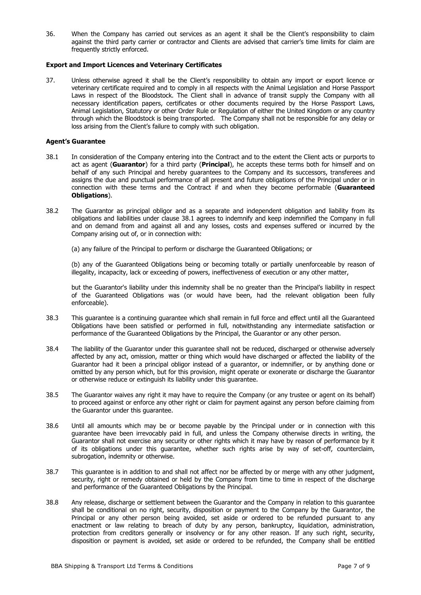36. When the Company has carried out services as an agent it shall be the Client's responsibility to claim against the third party carrier or contractor and Clients are advised that carrier's time limits for claim are frequently strictly enforced.

## **Export and Import Licences and Veterinary Certificates**

37. Unless otherwise agreed it shall be the Client's responsibility to obtain any import or export licence or veterinary certificate required and to comply in all respects with the Animal Legislation and Horse Passport Laws in respect of the Bloodstock. The Client shall in advance of transit supply the Company with all necessary identification papers, certificates or other documents required by the Horse Passport Laws, Animal Legislation, Statutory or other Order Rule or Regulation of either the United Kingdom or any country through which the Bloodstock is being transported. The Company shall not be responsible for any delay or loss arising from the Client's failure to comply with such obligation.

#### **Agent's Guarantee**

- 38.1 In consideration of the Company entering into the Contract and to the extent the Client acts or purports to act as agent (**Guarantor**) for a third party (**Principal**), he accepts these terms both for himself and on behalf of any such Principal and hereby guarantees to the Company and its successors, transferees and assigns the due and punctual performance of all present and future obligations of the Principal under or in connection with these terms and the Contract if and when they become performable (**Guaranteed Obligations**).
- 38.2 The Guarantor as principal obligor and as a separate and independent obligation and liability from its obligations and liabilities under clause 38.1 agrees to indemnify and keep indemnified the Company in full and on demand from and against all and any losses, costs and expenses suffered or incurred by the Company arising out of, or in connection with:
	- (a) any failure of the Principal to perform or discharge the Guaranteed Obligations; or

(b) any of the Guaranteed Obligations being or becoming totally or partially unenforceable by reason of illegality, incapacity, lack or exceeding of powers, ineffectiveness of execution or any other matter,

but the Guarantor's liability under this indemnity shall be no greater than the Principal's liability in respect of the Guaranteed Obligations was (or would have been, had the relevant obligation been fully enforceable).

- 38.3 This guarantee is a continuing guarantee which shall remain in full force and effect until all the Guaranteed Obligations have been satisfied or performed in full, notwithstanding any intermediate satisfaction or performance of the Guaranteed Obligations by the Principal, the Guarantor or any other person.
- 38.4 The liability of the Guarantor under this guarantee shall not be reduced, discharged or otherwise adversely affected by any act, omission, matter or thing which would have discharged or affected the liability of the Guarantor had it been a principal obligor instead of a guarantor, or indemnifier, or by anything done or omitted by any person which, but for this provision, might operate or exonerate or discharge the Guarantor or otherwise reduce or extinguish its liability under this guarantee.
- 38.5 The Guarantor waives any right it may have to require the Company (or any trustee or agent on its behalf) to proceed against or enforce any other right or claim for payment against any person before claiming from the Guarantor under this guarantee.
- 38.6 Until all amounts which may be or become payable by the Principal under or in connection with this guarantee have been irrevocably paid in full, and unless the Company otherwise directs in writing, the Guarantor shall not exercise any security or other rights which it may have by reason of performance by it of its obligations under this guarantee, whether such rights arise by way of set-off, counterclaim, subrogation, indemnity or otherwise.
- 38.7 This guarantee is in addition to and shall not affect nor be affected by or merge with any other judgment, security, right or remedy obtained or held by the Company from time to time in respect of the discharge and performance of the Guaranteed Obligations by the Principal.
- 38.8 Any release, discharge or settlement between the Guarantor and the Company in relation to this guarantee shall be conditional on no right, security, disposition or payment to the Company by the Guarantor, the Principal or any other person being avoided, set aside or ordered to be refunded pursuant to any enactment or law relating to breach of duty by any person, bankruptcy, liquidation, administration, protection from creditors generally or insolvency or for any other reason. If any such right, security, disposition or payment is avoided, set aside or ordered to be refunded, the Company shall be entitled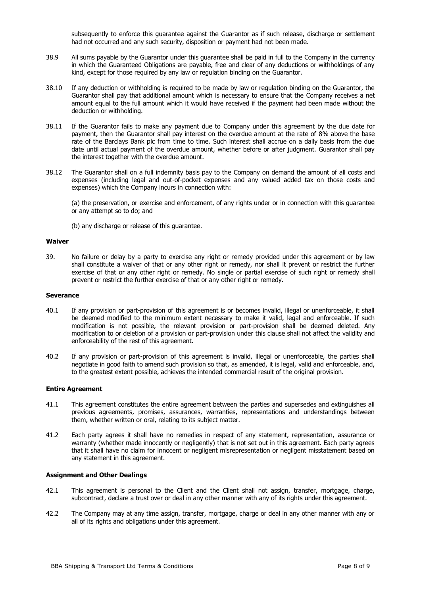subsequently to enforce this quarantee against the Guarantor as if such release, discharge or settlement had not occurred and any such security, disposition or payment had not been made.

- 38.9 All sums payable by the Guarantor under this guarantee shall be paid in full to the Company in the currency in which the Guaranteed Obligations are payable, free and clear of any deductions or withholdings of any kind, except for those required by any law or regulation binding on the Guarantor.
- 38.10 If any deduction or withholding is required to be made by law or regulation binding on the Guarantor, the Guarantor shall pay that additional amount which is necessary to ensure that the Company receives a net amount equal to the full amount which it would have received if the payment had been made without the deduction or withholding.
- 38.11 If the Guarantor fails to make any payment due to Company under this agreement by the due date for payment, then the Guarantor shall pay interest on the overdue amount at the rate of 8% above the base rate of the Barclays Bank plc from time to time. Such interest shall accrue on a daily basis from the due date until actual payment of the overdue amount, whether before or after judgment. Guarantor shall pay the interest together with the overdue amount.
- 38.12 The Guarantor shall on a full indemnity basis pay to the Company on demand the amount of all costs and expenses (including legal and out-of-pocket expenses and any valued added tax on those costs and expenses) which the Company incurs in connection with:

(a) the preservation, or exercise and enforcement, of any rights under or in connection with this guarantee or any attempt so to do; and

(b) any discharge or release of this guarantee.

#### **Waiver**

39. No failure or delay by a party to exercise any right or remedy provided under this agreement or by law shall constitute a waiver of that or any other right or remedy, nor shall it prevent or restrict the further exercise of that or any other right or remedy. No single or partial exercise of such right or remedy shall prevent or restrict the further exercise of that or any other right or remedy.

#### **Severance**

- 40.1 If any provision or part-provision of this agreement is or becomes invalid, illegal or unenforceable, it shall be deemed modified to the minimum extent necessary to make it valid, legal and enforceable. If such modification is not possible, the relevant provision or part-provision shall be deemed deleted. Any modification to or deletion of a provision or part-provision under this clause shall not affect the validity and enforceability of the rest of this agreement.
- 40.2 If any provision or part-provision of this agreement is invalid, illegal or unenforceable, the parties shall negotiate in good faith to amend such provision so that, as amended, it is legal, valid and enforceable, and, to the greatest extent possible, achieves the intended commercial result of the original provision.

#### **Entire Agreement**

- 41.1 This agreement constitutes the entire agreement between the parties and supersedes and extinguishes all previous agreements, promises, assurances, warranties, representations and understandings between them, whether written or oral, relating to its subject matter.
- 41.2 Each party agrees it shall have no remedies in respect of any statement, representation, assurance or warranty (whether made innocently or negligently) that is not set out in this agreement. Each party agrees that it shall have no claim for innocent or negligent misrepresentation or negligent misstatement based on any statement in this agreement.

#### **Assignment and Other Dealings**

- 42.1 This agreement is personal to the Client and the Client shall not assign, transfer, mortgage, charge, subcontract, declare a trust over or deal in any other manner with any of its rights under this agreement.
- 42.2 The Company may at any time assign, transfer, mortgage, charge or deal in any other manner with any or all of its rights and obligations under this agreement.